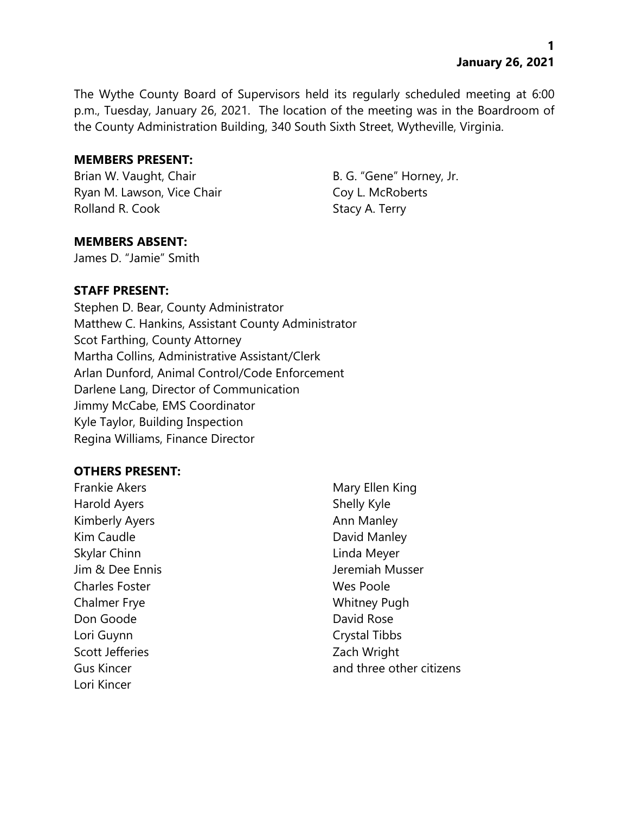The Wythe County Board of Supervisors held its regularly scheduled meeting at 6:00 p.m., Tuesday, January 26, 2021. The location of the meeting was in the Boardroom of the County Administration Building, 340 South Sixth Street, Wytheville, Virginia.

#### **MEMBERS PRESENT:**

Brian W. Vaught, Chair B. G. "Gene" Horney, Jr. Ryan M. Lawson, Vice Chair Coy L. McRoberts Rolland R. Cook Stacy A. Terry

### **MEMBERS ABSENT:**

James D. "Jamie" Smith

### **STAFF PRESENT:**

Stephen D. Bear, County Administrator Matthew C. Hankins, Assistant County Administrator Scot Farthing, County Attorney Martha Collins, Administrative Assistant/Clerk Arlan Dunford, Animal Control/Code Enforcement Darlene Lang, Director of Communication Jimmy McCabe, EMS Coordinator Kyle Taylor, Building Inspection Regina Williams, Finance Director

### **OTHERS PRESENT:**

Frankie Akers Mary Ellen King Harold Ayers **Shelly Kyle** Kimberly Ayers **Annis Annis Annis Annis Annis Annis Annis Annis Annis Annis Annis Annis Annis Annis Annis Anni** Kim Caudle **David Manley** Skylar Chinn **Linda Meyer** Jim & Dee Ennis Jeremiah Musser Charles Foster **Wes Poole** Chalmer Frye Whitney Pugh Don Goode David Rose Lori Guynn Crystal Tibbs Scott Jefferies **Zach Wright** Lori Kincer

Gus Kincer **and three other citizens**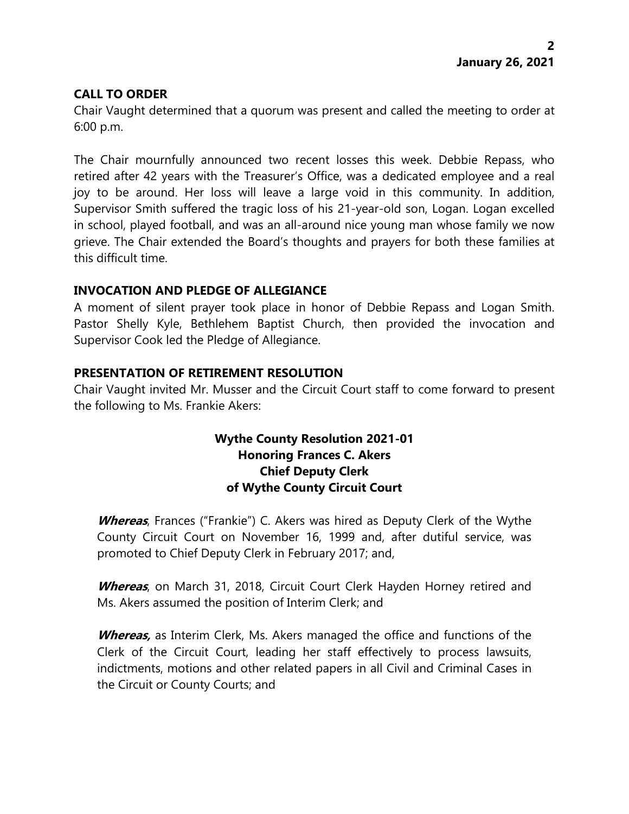### **CALL TO ORDER**

Chair Vaught determined that a quorum was present and called the meeting to order at 6:00 p.m.

The Chair mournfully announced two recent losses this week. Debbie Repass, who retired after 42 years with the Treasurer's Office, was a dedicated employee and a real joy to be around. Her loss will leave a large void in this community. In addition, Supervisor Smith suffered the tragic loss of his 21-year-old son, Logan. Logan excelled in school, played football, and was an all-around nice young man whose family we now grieve. The Chair extended the Board's thoughts and prayers for both these families at this difficult time.

# **INVOCATION AND PLEDGE OF ALLEGIANCE**

A moment of silent prayer took place in honor of Debbie Repass and Logan Smith. Pastor Shelly Kyle, Bethlehem Baptist Church, then provided the invocation and Supervisor Cook led the Pledge of Allegiance.

# **PRESENTATION OF RETIREMENT RESOLUTION**

Chair Vaught invited Mr. Musser and the Circuit Court staff to come forward to present the following to Ms. Frankie Akers:

## **Wythe County Resolution 2021-01 Honoring Frances C. Akers Chief Deputy Clerk of Wythe County Circuit Court**

**Whereas**, Frances ("Frankie") C. Akers was hired as Deputy Clerk of the Wythe County Circuit Court on November 16, 1999 and, after dutiful service, was promoted to Chief Deputy Clerk in February 2017; and,

**Whereas**, on March 31, 2018, Circuit Court Clerk Hayden Horney retired and Ms. Akers assumed the position of Interim Clerk; and

**Whereas,** as Interim Clerk, Ms. Akers managed the office and functions of the Clerk of the Circuit Court, leading her staff effectively to process lawsuits, indictments, motions and other related papers in all Civil and Criminal Cases in the Circuit or County Courts; and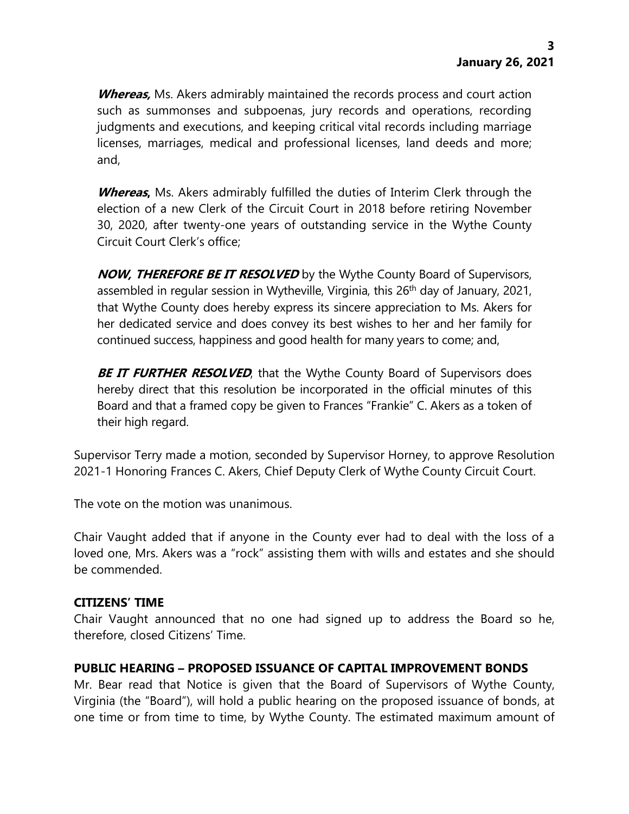**Whereas,** Ms. Akers admirably maintained the records process and court action such as summonses and subpoenas, jury records and operations, recording judgments and executions, and keeping critical vital records including marriage licenses, marriages, medical and professional licenses, land deeds and more; and,

**Whereas,** Ms. Akers admirably fulfilled the duties of Interim Clerk through the election of a new Clerk of the Circuit Court in 2018 before retiring November 30, 2020, after twenty-one years of outstanding service in the Wythe County Circuit Court Clerk's office;

**NOW, THEREFORE BE IT RESOLVED** by the Wythe County Board of Supervisors, assembled in regular session in Wytheville, Virginia, this 26<sup>th</sup> day of January, 2021, that Wythe County does hereby express its sincere appreciation to Ms. Akers for her dedicated service and does convey its best wishes to her and her family for continued success, happiness and good health for many years to come; and,

**BE IT FURTHER RESOLVED**, that the Wythe County Board of Supervisors does hereby direct that this resolution be incorporated in the official minutes of this Board and that a framed copy be given to Frances "Frankie" C. Akers as a token of their high regard.

Supervisor Terry made a motion, seconded by Supervisor Horney, to approve Resolution 2021-1 Honoring Frances C. Akers, Chief Deputy Clerk of Wythe County Circuit Court.

The vote on the motion was unanimous.

Chair Vaught added that if anyone in the County ever had to deal with the loss of a loved one, Mrs. Akers was a "rock" assisting them with wills and estates and she should be commended.

#### **CITIZENS' TIME**

Chair Vaught announced that no one had signed up to address the Board so he, therefore, closed Citizens' Time.

### **PUBLIC HEARING – PROPOSED ISSUANCE OF CAPITAL IMPROVEMENT BONDS**

Mr. Bear read that Notice is given that the Board of Supervisors of Wythe County, Virginia (the "Board"), will hold a public hearing on the proposed issuance of bonds, at one time or from time to time, by Wythe County. The estimated maximum amount of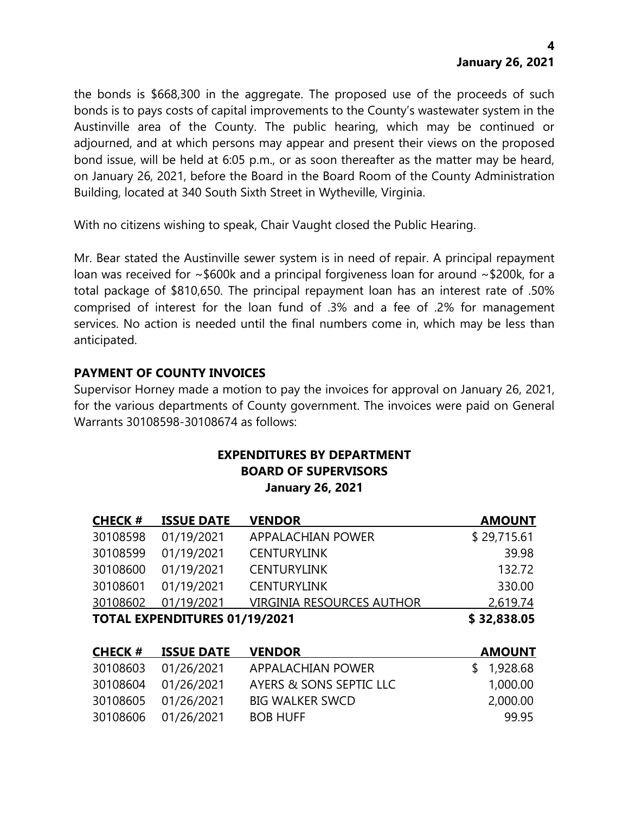the bonds is \$668,300 in the aggregate. The proposed use of the proceeds of such bonds is to pays costs of capital improvements to the County's wastewater system in the Austinville area of the County. The public hearing, which may be continued or adjourned, and at which persons may appear and present their views on the proposed bond issue, will be held at 6:05 p.m., or as soon thereafter as the matter may be heard, on January 26, 2021, before the Board in the Board Room of the County Administration Building, located at 340 South Sixth Street in Wytheville, Virginia.

With no citizens wishing to speak, Chair Vaught closed the Public Hearing.

Mr. Bear stated the Austinville sewer system is in need of repair. A principal repayment loan was received for ~\$600k and a principal forgiveness loan for around ~\$200k, for a total package of \$810,650. The principal repayment loan has an interest rate of .50% comprised of interest for the loan fund of .3% and a fee of .2% for management services. No action is needed until the final numbers come in, which may be less than anticipated.

# **PAYMENT OF COUNTY INVOICES**

Supervisor Horney made a motion to pay the invoices for approval on January 26, 2021, for the various departments of County government. The invoices were paid on General Warrants 30108598-30108674 as follows:

#### **EXPENDITURES BY DEPARTMENT BOARD OF SUPERVISORS January 26, 2021**

| <b>CHECK#</b>                        | <b>ISSUE DATE</b> | <b>VENDOR</b>                    | <b>AMOUNT</b> |
|--------------------------------------|-------------------|----------------------------------|---------------|
| 30108598                             | 01/19/2021        | <b>APPALACHIAN POWER</b>         | \$29,715.61   |
| 30108599                             | 01/19/2021        | <b>CENTURYLINK</b>               | 39.98         |
| 30108600                             | 01/19/2021        | <b>CENTURYLINK</b>               | 132.72        |
| 30108601                             | 01/19/2021        | <b>CENTURYLINK</b>               | 330.00        |
| 30108602                             | 01/19/2021        | <b>VIRGINIA RESOURCES AUTHOR</b> | 2,619.74      |
| <b>TOTAL EXPENDITURES 01/19/2021</b> |                   |                                  | \$32,838.05   |

| <b>CHECK #</b> | <b>ISSUE DATE</b>   | <b>VENDOR</b>           | <b>AMOUNT</b> |
|----------------|---------------------|-------------------------|---------------|
|                | 30108603 01/26/2021 | APPALACHIAN POWER       | \$1,928.68    |
|                | 30108604 01/26/2021 | AYERS & SONS SEPTIC LLC | 1,000.00      |
|                | 30108605 01/26/2021 | <b>BIG WALKER SWCD</b>  | 2,000.00      |
|                | 30108606 01/26/2021 | <b>BOB HUFF</b>         | 99 95         |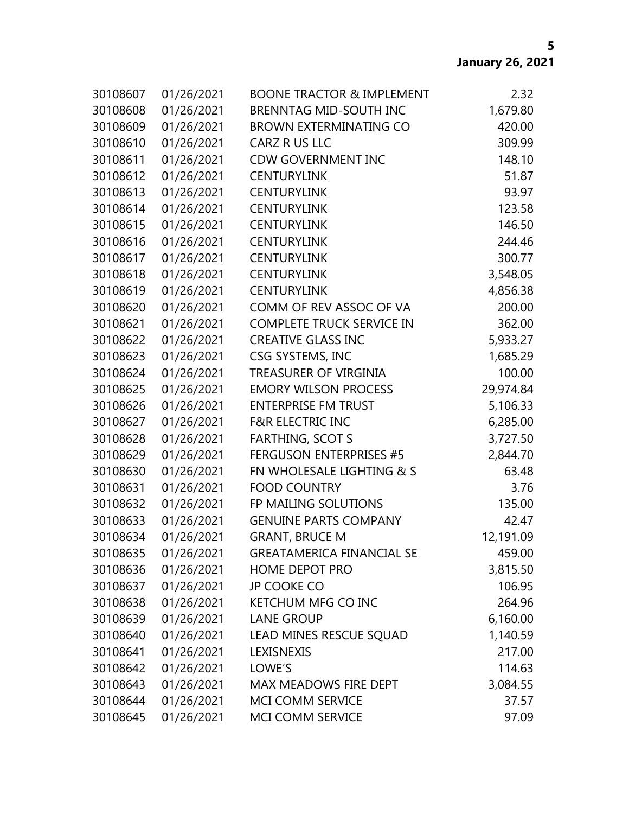| 30108607 | 01/26/2021 | <b>BOONE TRACTOR &amp; IMPLEMENT</b> | 2.32      |
|----------|------------|--------------------------------------|-----------|
| 30108608 | 01/26/2021 | <b>BRENNTAG MID-SOUTH INC</b>        | 1,679.80  |
| 30108609 | 01/26/2021 | <b>BROWN EXTERMINATING CO</b>        | 420.00    |
| 30108610 | 01/26/2021 | CARZ R US LLC                        | 309.99    |
| 30108611 | 01/26/2021 | <b>CDW GOVERNMENT INC</b>            | 148.10    |
| 30108612 | 01/26/2021 | <b>CENTURYLINK</b>                   | 51.87     |
| 30108613 | 01/26/2021 | <b>CENTURYLINK</b>                   | 93.97     |
| 30108614 | 01/26/2021 | <b>CENTURYLINK</b>                   | 123.58    |
| 30108615 | 01/26/2021 | <b>CENTURYLINK</b>                   | 146.50    |
| 30108616 | 01/26/2021 | <b>CENTURYLINK</b>                   | 244.46    |
| 30108617 | 01/26/2021 | <b>CENTURYLINK</b>                   | 300.77    |
| 30108618 | 01/26/2021 | <b>CENTURYLINK</b>                   | 3,548.05  |
| 30108619 | 01/26/2021 | <b>CENTURYLINK</b>                   | 4,856.38  |
| 30108620 | 01/26/2021 | COMM OF REV ASSOC OF VA              | 200.00    |
| 30108621 | 01/26/2021 | <b>COMPLETE TRUCK SERVICE IN</b>     | 362.00    |
| 30108622 | 01/26/2021 | <b>CREATIVE GLASS INC</b>            | 5,933.27  |
| 30108623 | 01/26/2021 | CSG SYSTEMS, INC                     | 1,685.29  |
| 30108624 | 01/26/2021 | <b>TREASURER OF VIRGINIA</b>         | 100.00    |
| 30108625 | 01/26/2021 | <b>EMORY WILSON PROCESS</b>          | 29,974.84 |
| 30108626 | 01/26/2021 | <b>ENTERPRISE FM TRUST</b>           | 5,106.33  |
| 30108627 | 01/26/2021 | <b>F&amp;R ELECTRIC INC</b>          | 6,285.00  |
| 30108628 | 01/26/2021 | <b>FARTHING, SCOT S</b>              | 3,727.50  |
| 30108629 | 01/26/2021 | <b>FERGUSON ENTERPRISES #5</b>       | 2,844.70  |
| 30108630 | 01/26/2021 | FN WHOLESALE LIGHTING & S            | 63.48     |
| 30108631 | 01/26/2021 | <b>FOOD COUNTRY</b>                  | 3.76      |
| 30108632 | 01/26/2021 | FP MAILING SOLUTIONS                 | 135.00    |
| 30108633 | 01/26/2021 | <b>GENUINE PARTS COMPANY</b>         | 42.47     |
| 30108634 | 01/26/2021 | <b>GRANT, BRUCE M</b>                | 12,191.09 |
| 30108635 | 01/26/2021 | <b>GREATAMERICA FINANCIAL SE</b>     | 459.00    |
| 30108636 | 01/26/2021 | <b>HOME DEPOT PRO</b>                | 3,815.50  |
| 30108637 | 01/26/2021 | <b>JP COOKE CO</b>                   | 106.95    |
| 30108638 | 01/26/2021 | KETCHUM MFG CO INC                   | 264.96    |
| 30108639 | 01/26/2021 | <b>LANE GROUP</b>                    | 6,160.00  |
| 30108640 | 01/26/2021 | LEAD MINES RESCUE SQUAD              | 1,140.59  |
| 30108641 | 01/26/2021 | LEXISNEXIS                           | 217.00    |
| 30108642 | 01/26/2021 | LOWE'S                               | 114.63    |
| 30108643 | 01/26/2021 | MAX MEADOWS FIRE DEPT                | 3,084.55  |
| 30108644 | 01/26/2021 | MCI COMM SERVICE                     | 37.57     |
| 30108645 | 01/26/2021 | MCI COMM SERVICE                     | 97.09     |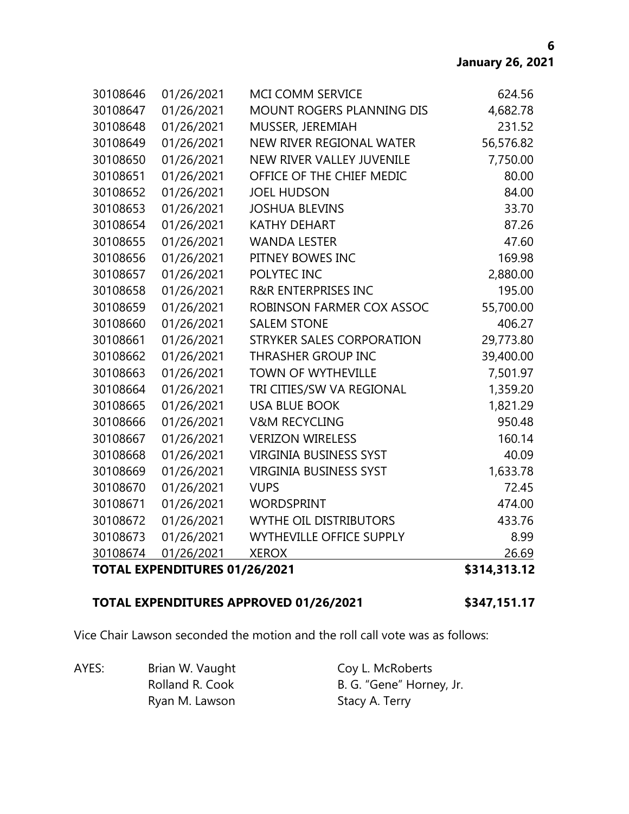| 30108646<br>30108647 | 01/26/2021<br>01/26/2021      | MCI COMM SERVICE<br><b>MOUNT ROGERS PLANNING DIS</b> | 624.56<br>4,682.78 |
|----------------------|-------------------------------|------------------------------------------------------|--------------------|
| 30108648             | 01/26/2021                    | MUSSER, JEREMIAH                                     | 231.52             |
| 30108649             | 01/26/2021                    | NEW RIVER REGIONAL WATER                             | 56,576.82          |
| 30108650             | 01/26/2021                    | NEW RIVER VALLEY JUVENILE                            | 7,750.00           |
| 30108651             | 01/26/2021                    | OFFICE OF THE CHIEF MEDIC                            | 80.00              |
| 30108652             | 01/26/2021                    | <b>JOEL HUDSON</b>                                   | 84.00              |
| 30108653             | 01/26/2021                    | <b>JOSHUA BLEVINS</b>                                | 33.70              |
| 30108654             | 01/26/2021                    | <b>KATHY DEHART</b>                                  | 87.26              |
| 30108655             | 01/26/2021                    | <b>WANDA LESTER</b>                                  | 47.60              |
| 30108656             | 01/26/2021                    | PITNEY BOWES INC                                     | 169.98             |
| 30108657             | 01/26/2021                    | POLYTEC INC                                          | 2,880.00           |
| 30108658             | 01/26/2021                    | <b>R&amp;R ENTERPRISES INC</b>                       | 195.00             |
| 30108659             | 01/26/2021                    | ROBINSON FARMER COX ASSOC                            | 55,700.00          |
| 30108660             | 01/26/2021                    | <b>SALEM STONE</b>                                   | 406.27             |
| 30108661             | 01/26/2021                    | STRYKER SALES CORPORATION                            | 29,773.80          |
| 30108662             | 01/26/2021                    | THRASHER GROUP INC                                   | 39,400.00          |
| 30108663             | 01/26/2021                    | <b>TOWN OF WYTHEVILLE</b>                            | 7,501.97           |
| 30108664             | 01/26/2021                    | TRI CITIES/SW VA REGIONAL                            | 1,359.20           |
| 30108665             | 01/26/2021                    | <b>USA BLUE BOOK</b>                                 | 1,821.29           |
| 30108666             | 01/26/2021                    | <b>V&amp;M RECYCLING</b>                             | 950.48             |
| 30108667             | 01/26/2021                    | <b>VERIZON WIRELESS</b>                              | 160.14             |
| 30108668             | 01/26/2021                    | <b>VIRGINIA BUSINESS SYST</b>                        | 40.09              |
| 30108669             | 01/26/2021                    | <b>VIRGINIA BUSINESS SYST</b>                        | 1,633.78           |
| 30108670             | 01/26/2021                    | <b>VUPS</b>                                          | 72.45              |
| 30108671             | 01/26/2021                    | <b>WORDSPRINT</b>                                    | 474.00             |
| 30108672             | 01/26/2021                    | <b>WYTHE OIL DISTRIBUTORS</b>                        | 433.76             |
| 30108673             | 01/26/2021                    | <b>WYTHEVILLE OFFICE SUPPLY</b>                      | 8.99               |
| 30108674             | 01/26/2021                    | <b>XEROX</b>                                         | 26.69              |
|                      | TOTAL EXPENDITURES 01/26/2021 |                                                      | \$314,313.12       |

#### **TOTAL EXPENDITURES APPROVED 01/26/2021 \$347,151.17**

Vice Chair Lawson seconded the motion and the roll call vote was as follows:

AYES: Brian W. Vaught Coy L. McRoberts Ryan M. Lawson Stacy A. Terry

Rolland R. Cook B. G. "Gene" Horney, Jr.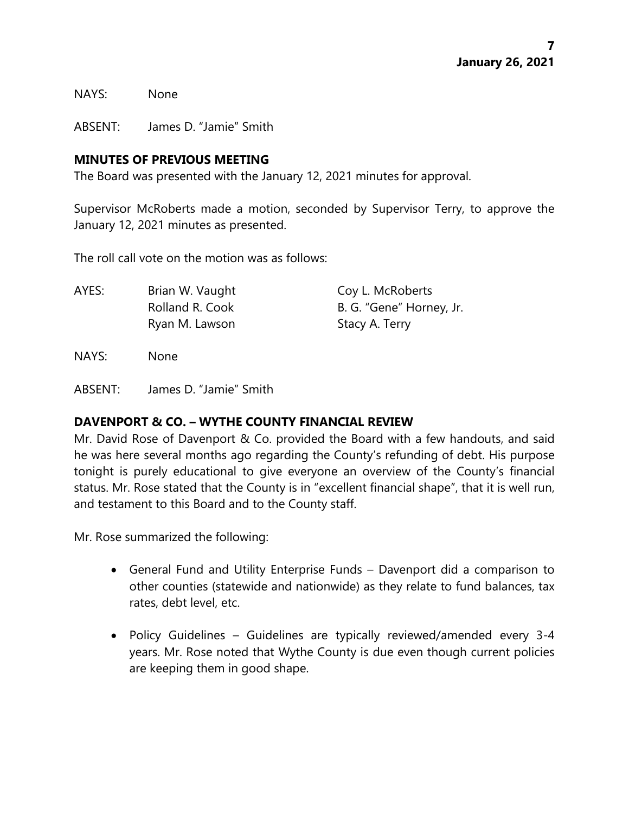NAYS: None

ABSENT: James D. "Jamie" Smith

#### **MINUTES OF PREVIOUS MEETING**

The Board was presented with the January 12, 2021 minutes for approval.

Supervisor McRoberts made a motion, seconded by Supervisor Terry, to approve the January 12, 2021 minutes as presented.

The roll call vote on the motion was as follows:

AYES: Brian W. Vaught Coy L. McRoberts Rolland R. Cook B. G. "Gene" Horney, Jr. Ryan M. Lawson Stacy A. Terry

NAYS: None

ABSENT: James D. "Jamie" Smith

### **DAVENPORT & CO. – WYTHE COUNTY FINANCIAL REVIEW**

Mr. David Rose of Davenport & Co. provided the Board with a few handouts, and said he was here several months ago regarding the County's refunding of debt. His purpose tonight is purely educational to give everyone an overview of the County's financial status. Mr. Rose stated that the County is in "excellent financial shape", that it is well run, and testament to this Board and to the County staff.

Mr. Rose summarized the following:

- General Fund and Utility Enterprise Funds Davenport did a comparison to other counties (statewide and nationwide) as they relate to fund balances, tax rates, debt level, etc.
- Policy Guidelines Guidelines are typically reviewed/amended every 3-4 years. Mr. Rose noted that Wythe County is due even though current policies are keeping them in good shape.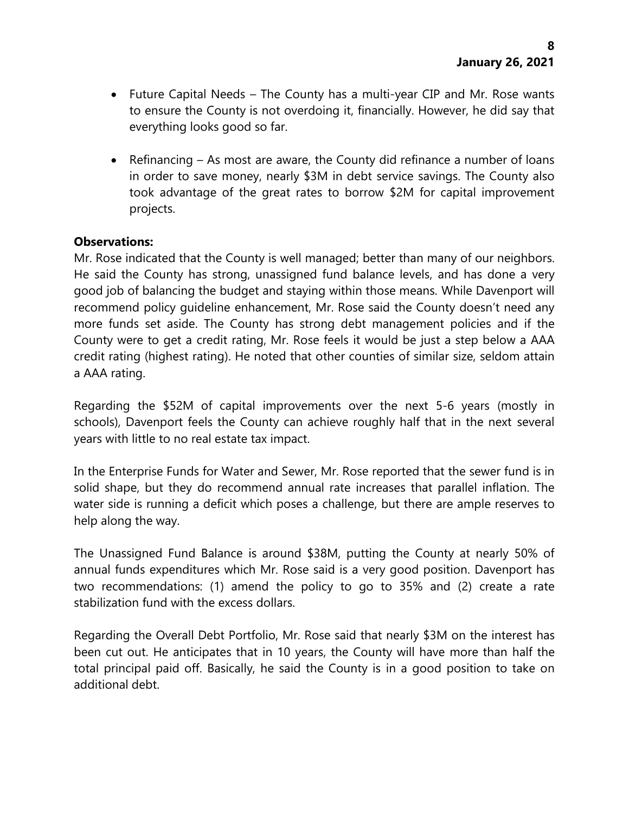- Future Capital Needs The County has a multi-year CIP and Mr. Rose wants to ensure the County is not overdoing it, financially. However, he did say that everything looks good so far.
- Refinancing As most are aware, the County did refinance a number of loans in order to save money, nearly \$3M in debt service savings. The County also took advantage of the great rates to borrow \$2M for capital improvement projects.

### **Observations:**

Mr. Rose indicated that the County is well managed; better than many of our neighbors. He said the County has strong, unassigned fund balance levels, and has done a very good job of balancing the budget and staying within those means. While Davenport will recommend policy guideline enhancement, Mr. Rose said the County doesn't need any more funds set aside. The County has strong debt management policies and if the County were to get a credit rating, Mr. Rose feels it would be just a step below a AAA credit rating (highest rating). He noted that other counties of similar size, seldom attain a AAA rating.

Regarding the \$52M of capital improvements over the next 5-6 years (mostly in schools), Davenport feels the County can achieve roughly half that in the next several years with little to no real estate tax impact.

In the Enterprise Funds for Water and Sewer, Mr. Rose reported that the sewer fund is in solid shape, but they do recommend annual rate increases that parallel inflation. The water side is running a deficit which poses a challenge, but there are ample reserves to help along the way.

The Unassigned Fund Balance is around \$38M, putting the County at nearly 50% of annual funds expenditures which Mr. Rose said is a very good position. Davenport has two recommendations: (1) amend the policy to go to 35% and (2) create a rate stabilization fund with the excess dollars.

Regarding the Overall Debt Portfolio, Mr. Rose said that nearly \$3M on the interest has been cut out. He anticipates that in 10 years, the County will have more than half the total principal paid off. Basically, he said the County is in a good position to take on additional debt.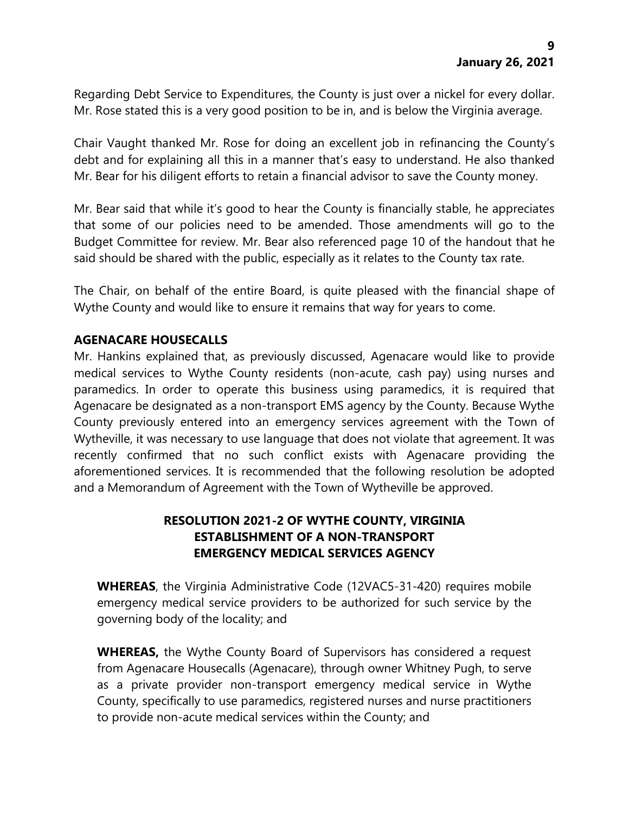Regarding Debt Service to Expenditures, the County is just over a nickel for every dollar. Mr. Rose stated this is a very good position to be in, and is below the Virginia average.

Chair Vaught thanked Mr. Rose for doing an excellent job in refinancing the County's debt and for explaining all this in a manner that's easy to understand. He also thanked Mr. Bear for his diligent efforts to retain a financial advisor to save the County money.

Mr. Bear said that while it's good to hear the County is financially stable, he appreciates that some of our policies need to be amended. Those amendments will go to the Budget Committee for review. Mr. Bear also referenced page 10 of the handout that he said should be shared with the public, especially as it relates to the County tax rate.

The Chair, on behalf of the entire Board, is quite pleased with the financial shape of Wythe County and would like to ensure it remains that way for years to come.

## **AGENACARE HOUSECALLS**

Mr. Hankins explained that, as previously discussed, Agenacare would like to provide medical services to Wythe County residents (non-acute, cash pay) using nurses and paramedics. In order to operate this business using paramedics, it is required that Agenacare be designated as a non-transport EMS agency by the County. Because Wythe County previously entered into an emergency services agreement with the Town of Wytheville, it was necessary to use language that does not violate that agreement. It was recently confirmed that no such conflict exists with Agenacare providing the aforementioned services. It is recommended that the following resolution be adopted and a Memorandum of Agreement with the Town of Wytheville be approved.

# **RESOLUTION 2021-2 OF WYTHE COUNTY, VIRGINIA ESTABLISHMENT OF A NON-TRANSPORT EMERGENCY MEDICAL SERVICES AGENCY**

**WHEREAS**, the Virginia Administrative Code (12VAC5-31-420) requires mobile emergency medical service providers to be authorized for such service by the governing body of the locality; and

**WHEREAS,** the Wythe County Board of Supervisors has considered a request from Agenacare Housecalls (Agenacare), through owner Whitney Pugh, to serve as a private provider non-transport emergency medical service in Wythe County, specifically to use paramedics, registered nurses and nurse practitioners to provide non-acute medical services within the County; and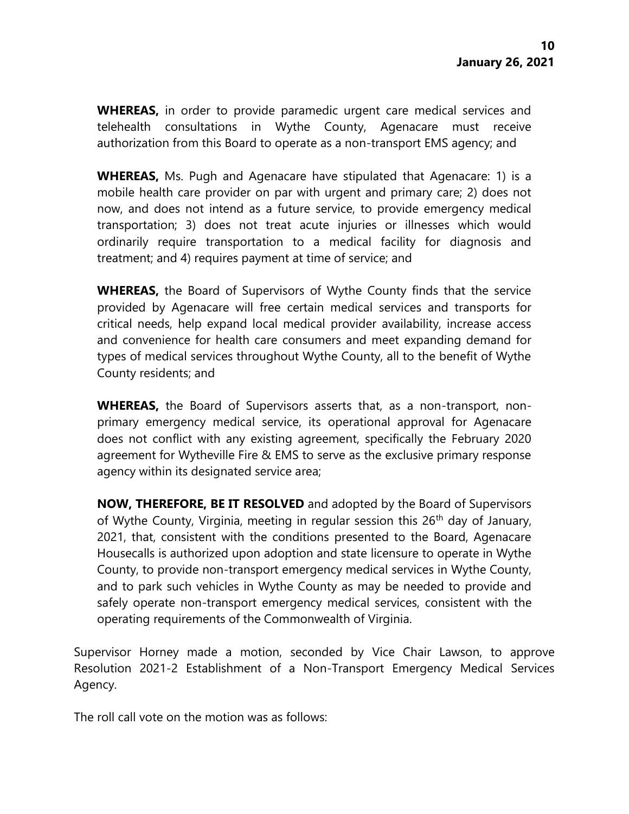**WHEREAS,** in order to provide paramedic urgent care medical services and telehealth consultations in Wythe County, Agenacare must receive authorization from this Board to operate as a non-transport EMS agency; and

**WHEREAS,** Ms. Pugh and Agenacare have stipulated that Agenacare: 1) is a mobile health care provider on par with urgent and primary care; 2) does not now, and does not intend as a future service, to provide emergency medical transportation; 3) does not treat acute injuries or illnesses which would ordinarily require transportation to a medical facility for diagnosis and treatment; and 4) requires payment at time of service; and

**WHEREAS,** the Board of Supervisors of Wythe County finds that the service provided by Agenacare will free certain medical services and transports for critical needs, help expand local medical provider availability, increase access and convenience for health care consumers and meet expanding demand for types of medical services throughout Wythe County, all to the benefit of Wythe County residents; and

**WHEREAS,** the Board of Supervisors asserts that, as a non-transport, nonprimary emergency medical service, its operational approval for Agenacare does not conflict with any existing agreement, specifically the February 2020 agreement for Wytheville Fire & EMS to serve as the exclusive primary response agency within its designated service area;

**NOW, THEREFORE, BE IT RESOLVED** and adopted by the Board of Supervisors of Wythe County, Virginia, meeting in regular session this  $26<sup>th</sup>$  day of January, 2021, that, consistent with the conditions presented to the Board, Agenacare Housecalls is authorized upon adoption and state licensure to operate in Wythe County, to provide non-transport emergency medical services in Wythe County, and to park such vehicles in Wythe County as may be needed to provide and safely operate non-transport emergency medical services, consistent with the operating requirements of the Commonwealth of Virginia.

Supervisor Horney made a motion, seconded by Vice Chair Lawson, to approve Resolution 2021-2 Establishment of a Non-Transport Emergency Medical Services Agency.

The roll call vote on the motion was as follows: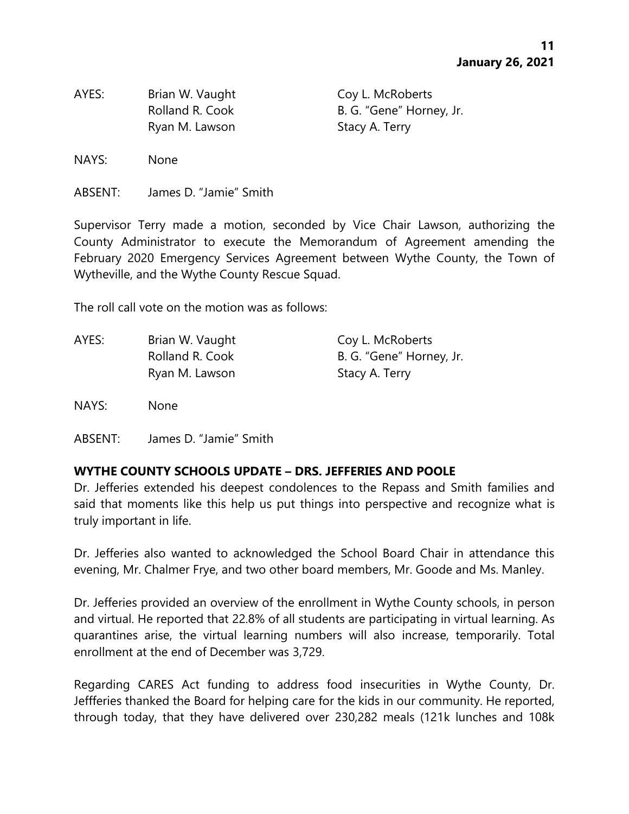AYES: Brian W. Vaught Coy L. McRoberts Ryan M. Lawson Stacy A. Terry

Rolland R. Cook B. G. "Gene" Horney, Jr.

NAYS: None

ABSENT: James D. "Jamie" Smith

Supervisor Terry made a motion, seconded by Vice Chair Lawson, authorizing the County Administrator to execute the Memorandum of Agreement amending the February 2020 Emergency Services Agreement between Wythe County, the Town of Wytheville, and the Wythe County Rescue Squad.

The roll call vote on the motion was as follows:

| Brian W. Vaught | Coy L. McRoberts         |
|-----------------|--------------------------|
| Rolland R. Cook | B. G. "Gene" Horney, Jr. |
| Ryan M. Lawson  | Stacy A. Terry           |
|                 |                          |

NAYS: None

### **WYTHE COUNTY SCHOOLS UPDATE – DRS. JEFFERIES AND POOLE**

Dr. Jefferies extended his deepest condolences to the Repass and Smith families and said that moments like this help us put things into perspective and recognize what is truly important in life.

Dr. Jefferies also wanted to acknowledged the School Board Chair in attendance this evening, Mr. Chalmer Frye, and two other board members, Mr. Goode and Ms. Manley.

Dr. Jefferies provided an overview of the enrollment in Wythe County schools, in person and virtual. He reported that 22.8% of all students are participating in virtual learning. As quarantines arise, the virtual learning numbers will also increase, temporarily. Total enrollment at the end of December was 3,729.

Regarding CARES Act funding to address food insecurities in Wythe County, Dr. Jeffferies thanked the Board for helping care for the kids in our community. He reported, through today, that they have delivered over 230,282 meals (121k lunches and 108k

ABSENT: James D. "Jamie" Smith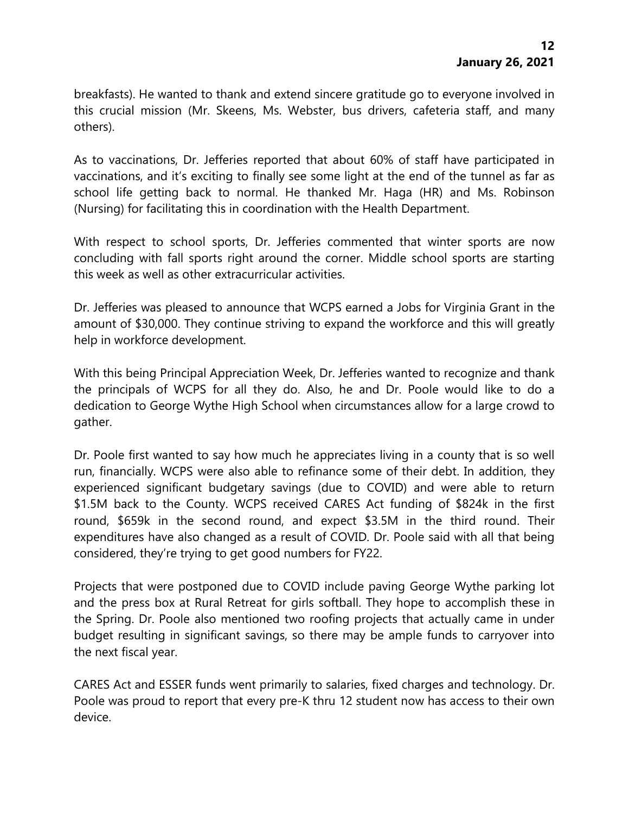breakfasts). He wanted to thank and extend sincere gratitude go to everyone involved in this crucial mission (Mr. Skeens, Ms. Webster, bus drivers, cafeteria staff, and many others).

As to vaccinations, Dr. Jefferies reported that about 60% of staff have participated in vaccinations, and it's exciting to finally see some light at the end of the tunnel as far as school life getting back to normal. He thanked Mr. Haga (HR) and Ms. Robinson (Nursing) for facilitating this in coordination with the Health Department.

With respect to school sports, Dr. Jefferies commented that winter sports are now concluding with fall sports right around the corner. Middle school sports are starting this week as well as other extracurricular activities.

Dr. Jefferies was pleased to announce that WCPS earned a Jobs for Virginia Grant in the amount of \$30,000. They continue striving to expand the workforce and this will greatly help in workforce development.

With this being Principal Appreciation Week, Dr. Jefferies wanted to recognize and thank the principals of WCPS for all they do. Also, he and Dr. Poole would like to do a dedication to George Wythe High School when circumstances allow for a large crowd to gather.

Dr. Poole first wanted to say how much he appreciates living in a county that is so well run, financially. WCPS were also able to refinance some of their debt. In addition, they experienced significant budgetary savings (due to COVID) and were able to return \$1.5M back to the County. WCPS received CARES Act funding of \$824k in the first round, \$659k in the second round, and expect \$3.5M in the third round. Their expenditures have also changed as a result of COVID. Dr. Poole said with all that being considered, they're trying to get good numbers for FY22.

Projects that were postponed due to COVID include paving George Wythe parking lot and the press box at Rural Retreat for girls softball. They hope to accomplish these in the Spring. Dr. Poole also mentioned two roofing projects that actually came in under budget resulting in significant savings, so there may be ample funds to carryover into the next fiscal year.

CARES Act and ESSER funds went primarily to salaries, fixed charges and technology. Dr. Poole was proud to report that every pre-K thru 12 student now has access to their own device.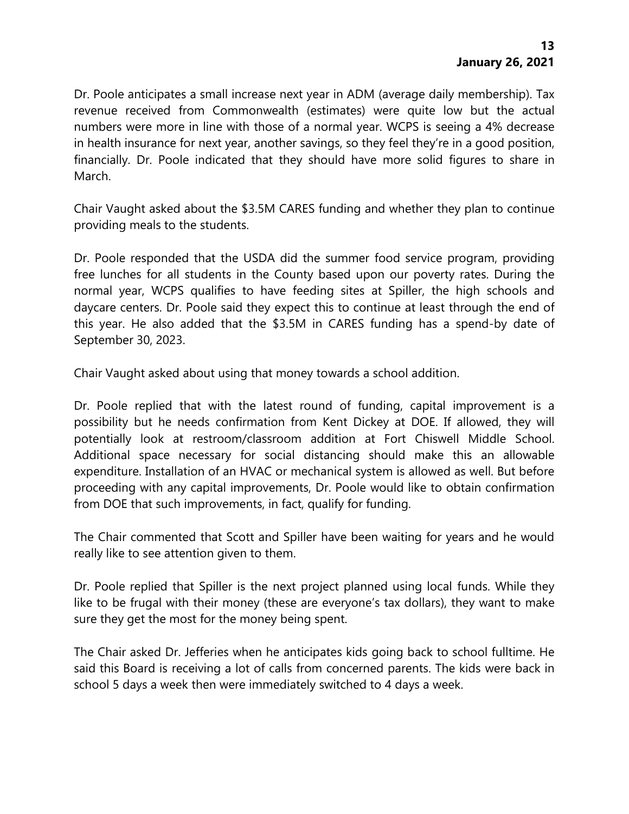Dr. Poole anticipates a small increase next year in ADM (average daily membership). Tax revenue received from Commonwealth (estimates) were quite low but the actual numbers were more in line with those of a normal year. WCPS is seeing a 4% decrease in health insurance for next year, another savings, so they feel they're in a good position, financially. Dr. Poole indicated that they should have more solid figures to share in March.

Chair Vaught asked about the \$3.5M CARES funding and whether they plan to continue providing meals to the students.

Dr. Poole responded that the USDA did the summer food service program, providing free lunches for all students in the County based upon our poverty rates. During the normal year, WCPS qualifies to have feeding sites at Spiller, the high schools and daycare centers. Dr. Poole said they expect this to continue at least through the end of this year. He also added that the \$3.5M in CARES funding has a spend-by date of September 30, 2023.

Chair Vaught asked about using that money towards a school addition.

Dr. Poole replied that with the latest round of funding, capital improvement is a possibility but he needs confirmation from Kent Dickey at DOE. If allowed, they will potentially look at restroom/classroom addition at Fort Chiswell Middle School. Additional space necessary for social distancing should make this an allowable expenditure. Installation of an HVAC or mechanical system is allowed as well. But before proceeding with any capital improvements, Dr. Poole would like to obtain confirmation from DOE that such improvements, in fact, qualify for funding.

The Chair commented that Scott and Spiller have been waiting for years and he would really like to see attention given to them.

Dr. Poole replied that Spiller is the next project planned using local funds. While they like to be frugal with their money (these are everyone's tax dollars), they want to make sure they get the most for the money being spent.

The Chair asked Dr. Jefferies when he anticipates kids going back to school fulltime. He said this Board is receiving a lot of calls from concerned parents. The kids were back in school 5 days a week then were immediately switched to 4 days a week.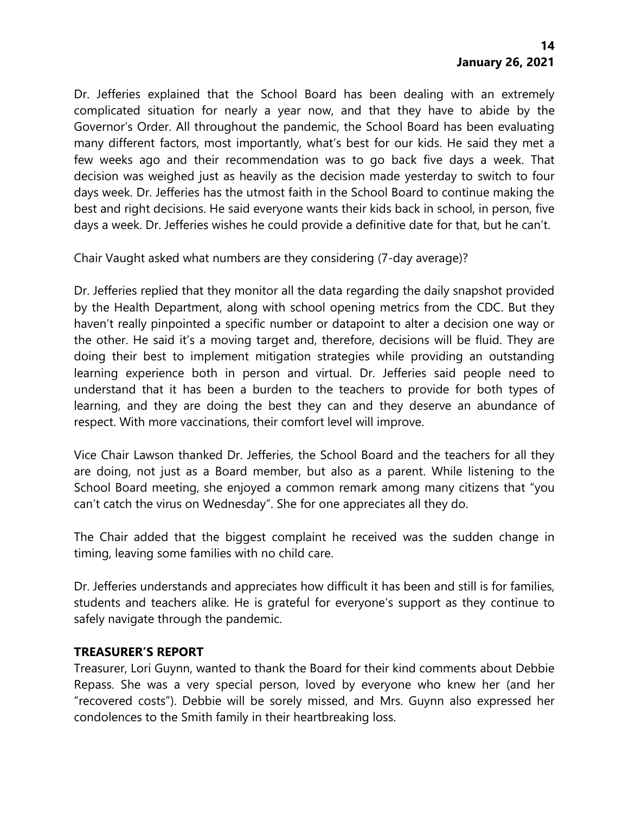Dr. Jefferies explained that the School Board has been dealing with an extremely complicated situation for nearly a year now, and that they have to abide by the Governor's Order. All throughout the pandemic, the School Board has been evaluating many different factors, most importantly, what's best for our kids. He said they met a few weeks ago and their recommendation was to go back five days a week. That decision was weighed just as heavily as the decision made yesterday to switch to four days week. Dr. Jefferies has the utmost faith in the School Board to continue making the best and right decisions. He said everyone wants their kids back in school, in person, five days a week. Dr. Jefferies wishes he could provide a definitive date for that, but he can't.

Chair Vaught asked what numbers are they considering (7-day average)?

Dr. Jefferies replied that they monitor all the data regarding the daily snapshot provided by the Health Department, along with school opening metrics from the CDC. But they haven't really pinpointed a specific number or datapoint to alter a decision one way or the other. He said it's a moving target and, therefore, decisions will be fluid. They are doing their best to implement mitigation strategies while providing an outstanding learning experience both in person and virtual. Dr. Jefferies said people need to understand that it has been a burden to the teachers to provide for both types of learning, and they are doing the best they can and they deserve an abundance of respect. With more vaccinations, their comfort level will improve.

Vice Chair Lawson thanked Dr. Jefferies, the School Board and the teachers for all they are doing, not just as a Board member, but also as a parent. While listening to the School Board meeting, she enjoyed a common remark among many citizens that "you can't catch the virus on Wednesday". She for one appreciates all they do.

The Chair added that the biggest complaint he received was the sudden change in timing, leaving some families with no child care.

Dr. Jefferies understands and appreciates how difficult it has been and still is for families, students and teachers alike. He is grateful for everyone's support as they continue to safely navigate through the pandemic.

### **TREASURER'S REPORT**

Treasurer, Lori Guynn, wanted to thank the Board for their kind comments about Debbie Repass. She was a very special person, loved by everyone who knew her (and her "recovered costs"). Debbie will be sorely missed, and Mrs. Guynn also expressed her condolences to the Smith family in their heartbreaking loss.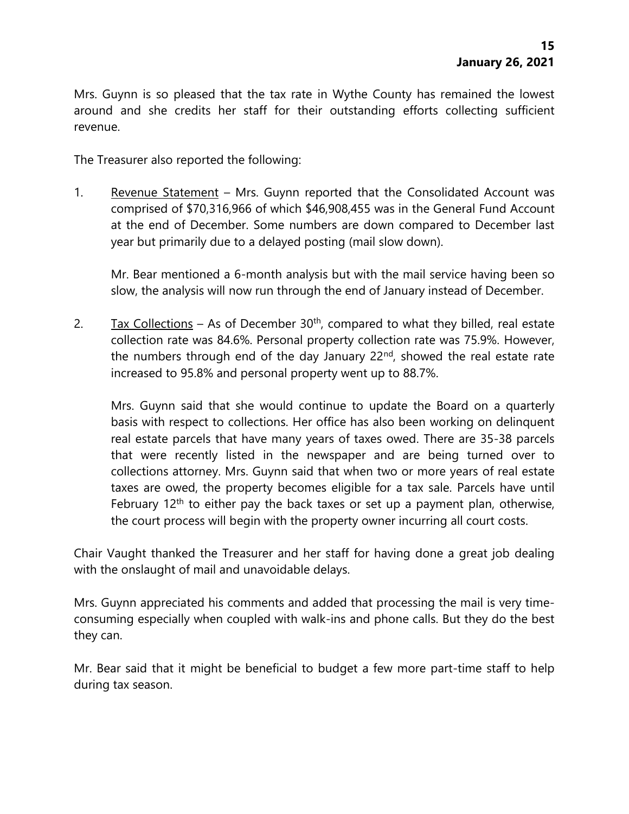Mrs. Guynn is so pleased that the tax rate in Wythe County has remained the lowest around and she credits her staff for their outstanding efforts collecting sufficient revenue.

The Treasurer also reported the following:

1. Revenue Statement – Mrs. Guynn reported that the Consolidated Account was comprised of \$70,316,966 of which \$46,908,455 was in the General Fund Account at the end of December. Some numbers are down compared to December last year but primarily due to a delayed posting (mail slow down).

Mr. Bear mentioned a 6-month analysis but with the mail service having been so slow, the analysis will now run through the end of January instead of December.

2. Tax Collections – As of December  $30<sup>th</sup>$ , compared to what they billed, real estate collection rate was 84.6%. Personal property collection rate was 75.9%. However, the numbers through end of the day January  $22<sup>nd</sup>$ , showed the real estate rate increased to 95.8% and personal property went up to 88.7%.

Mrs. Guynn said that she would continue to update the Board on a quarterly basis with respect to collections. Her office has also been working on delinquent real estate parcels that have many years of taxes owed. There are 35-38 parcels that were recently listed in the newspaper and are being turned over to collections attorney. Mrs. Guynn said that when two or more years of real estate taxes are owed, the property becomes eligible for a tax sale. Parcels have until February  $12<sup>th</sup>$  to either pay the back taxes or set up a payment plan, otherwise, the court process will begin with the property owner incurring all court costs.

Chair Vaught thanked the Treasurer and her staff for having done a great job dealing with the onslaught of mail and unavoidable delays.

Mrs. Guynn appreciated his comments and added that processing the mail is very timeconsuming especially when coupled with walk-ins and phone calls. But they do the best they can.

Mr. Bear said that it might be beneficial to budget a few more part-time staff to help during tax season.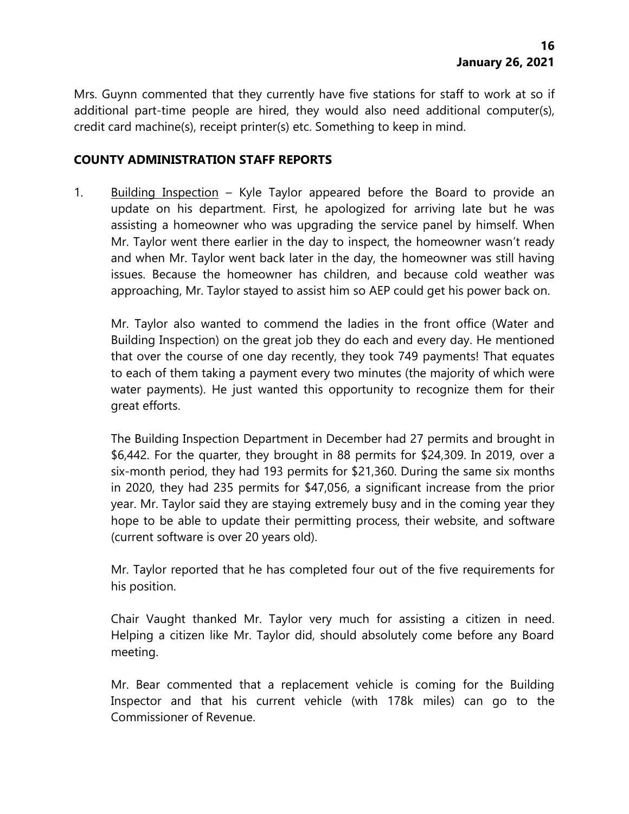Mrs. Guynn commented that they currently have five stations for staff to work at so if additional part-time people are hired, they would also need additional computer(s), credit card machine(s), receipt printer(s) etc. Something to keep in mind.

#### **COUNTY ADMINISTRATION STAFF REPORTS**

1. Building Inspection – Kyle Taylor appeared before the Board to provide an update on his department. First, he apologized for arriving late but he was assisting a homeowner who was upgrading the service panel by himself. When Mr. Taylor went there earlier in the day to inspect, the homeowner wasn't ready and when Mr. Taylor went back later in the day, the homeowner was still having issues. Because the homeowner has children, and because cold weather was approaching, Mr. Taylor stayed to assist him so AEP could get his power back on.

Mr. Taylor also wanted to commend the ladies in the front office (Water and Building Inspection) on the great job they do each and every day. He mentioned that over the course of one day recently, they took 749 payments! That equates to each of them taking a payment every two minutes (the majority of which were water payments). He just wanted this opportunity to recognize them for their great efforts.

The Building Inspection Department in December had 27 permits and brought in \$6,442. For the quarter, they brought in 88 permits for \$24,309. In 2019, over a six-month period, they had 193 permits for \$21,360. During the same six months in 2020, they had 235 permits for \$47,056, a significant increase from the prior year. Mr. Taylor said they are staying extremely busy and in the coming year they hope to be able to update their permitting process, their website, and software (current software is over 20 years old).

Mr. Taylor reported that he has completed four out of the five requirements for his position.

Chair Vaught thanked Mr. Taylor very much for assisting a citizen in need. Helping a citizen like Mr. Taylor did, should absolutely come before any Board meeting.

Mr. Bear commented that a replacement vehicle is coming for the Building Inspector and that his current vehicle (with 178k miles) can go to the Commissioner of Revenue.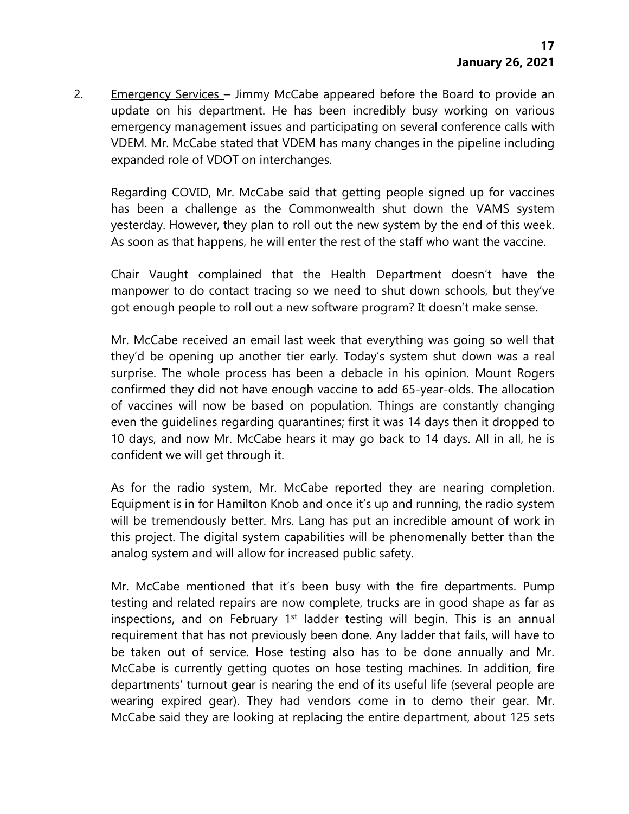2. Emergency Services – Jimmy McCabe appeared before the Board to provide an update on his department. He has been incredibly busy working on various emergency management issues and participating on several conference calls with VDEM. Mr. McCabe stated that VDEM has many changes in the pipeline including expanded role of VDOT on interchanges.

Regarding COVID, Mr. McCabe said that getting people signed up for vaccines has been a challenge as the Commonwealth shut down the VAMS system yesterday. However, they plan to roll out the new system by the end of this week. As soon as that happens, he will enter the rest of the staff who want the vaccine.

Chair Vaught complained that the Health Department doesn't have the manpower to do contact tracing so we need to shut down schools, but they've got enough people to roll out a new software program? It doesn't make sense.

Mr. McCabe received an email last week that everything was going so well that they'd be opening up another tier early. Today's system shut down was a real surprise. The whole process has been a debacle in his opinion. Mount Rogers confirmed they did not have enough vaccine to add 65-year-olds. The allocation of vaccines will now be based on population. Things are constantly changing even the guidelines regarding quarantines; first it was 14 days then it dropped to 10 days, and now Mr. McCabe hears it may go back to 14 days. All in all, he is confident we will get through it.

As for the radio system, Mr. McCabe reported they are nearing completion. Equipment is in for Hamilton Knob and once it's up and running, the radio system will be tremendously better. Mrs. Lang has put an incredible amount of work in this project. The digital system capabilities will be phenomenally better than the analog system and will allow for increased public safety.

Mr. McCabe mentioned that it's been busy with the fire departments. Pump testing and related repairs are now complete, trucks are in good shape as far as inspections, and on February 1<sup>st</sup> ladder testing will begin. This is an annual requirement that has not previously been done. Any ladder that fails, will have to be taken out of service. Hose testing also has to be done annually and Mr. McCabe is currently getting quotes on hose testing machines. In addition, fire departments' turnout gear is nearing the end of its useful life (several people are wearing expired gear). They had vendors come in to demo their gear. Mr. McCabe said they are looking at replacing the entire department, about 125 sets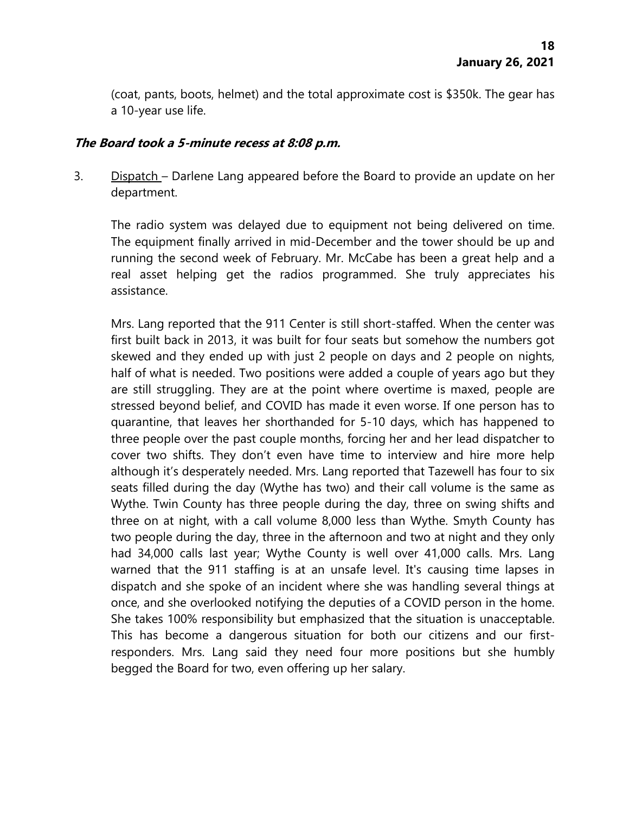(coat, pants, boots, helmet) and the total approximate cost is \$350k. The gear has a 10-year use life.

#### **The Board took a 5-minute recess at 8:08 p.m.**

3. Dispatch – Darlene Lang appeared before the Board to provide an update on her department.

The radio system was delayed due to equipment not being delivered on time. The equipment finally arrived in mid-December and the tower should be up and running the second week of February. Mr. McCabe has been a great help and a real asset helping get the radios programmed. She truly appreciates his assistance.

Mrs. Lang reported that the 911 Center is still short-staffed. When the center was first built back in 2013, it was built for four seats but somehow the numbers got skewed and they ended up with just 2 people on days and 2 people on nights, half of what is needed. Two positions were added a couple of years ago but they are still struggling. They are at the point where overtime is maxed, people are stressed beyond belief, and COVID has made it even worse. If one person has to quarantine, that leaves her shorthanded for 5-10 days, which has happened to three people over the past couple months, forcing her and her lead dispatcher to cover two shifts. They don't even have time to interview and hire more help although it's desperately needed. Mrs. Lang reported that Tazewell has four to six seats filled during the day (Wythe has two) and their call volume is the same as Wythe. Twin County has three people during the day, three on swing shifts and three on at night, with a call volume 8,000 less than Wythe. Smyth County has two people during the day, three in the afternoon and two at night and they only had 34,000 calls last year; Wythe County is well over 41,000 calls. Mrs. Lang warned that the 911 staffing is at an unsafe level. It's causing time lapses in dispatch and she spoke of an incident where she was handling several things at once, and she overlooked notifying the deputies of a COVID person in the home. She takes 100% responsibility but emphasized that the situation is unacceptable. This has become a dangerous situation for both our citizens and our firstresponders. Mrs. Lang said they need four more positions but she humbly begged the Board for two, even offering up her salary.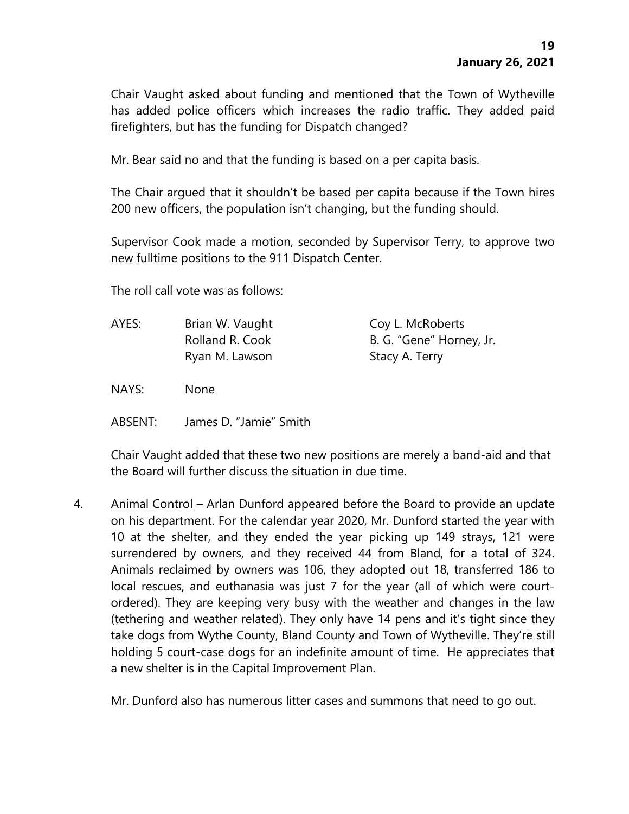Chair Vaught asked about funding and mentioned that the Town of Wytheville has added police officers which increases the radio traffic. They added paid firefighters, but has the funding for Dispatch changed?

Mr. Bear said no and that the funding is based on a per capita basis.

The Chair argued that it shouldn't be based per capita because if the Town hires 200 new officers, the population isn't changing, but the funding should.

Supervisor Cook made a motion, seconded by Supervisor Terry, to approve two new fulltime positions to the 911 Dispatch Center.

The roll call vote was as follows:

| AYES: | Brian W. Vaught | Coy L. McRoberts         |
|-------|-----------------|--------------------------|
|       | Rolland R. Cook | B. G. "Gene" Horney, Jr. |
|       | Ryan M. Lawson  | Stacy A. Terry           |

NAYS: None

ABSENT: James D. "Jamie" Smith

Chair Vaught added that these two new positions are merely a band-aid and that the Board will further discuss the situation in due time.

4. Animal Control – Arlan Dunford appeared before the Board to provide an update on his department. For the calendar year 2020, Mr. Dunford started the year with 10 at the shelter, and they ended the year picking up 149 strays, 121 were surrendered by owners, and they received 44 from Bland, for a total of 324. Animals reclaimed by owners was 106, they adopted out 18, transferred 186 to local rescues, and euthanasia was just 7 for the year (all of which were courtordered). They are keeping very busy with the weather and changes in the law (tethering and weather related). They only have 14 pens and it's tight since they take dogs from Wythe County, Bland County and Town of Wytheville. They're still holding 5 court-case dogs for an indefinite amount of time. He appreciates that a new shelter is in the Capital Improvement Plan.

Mr. Dunford also has numerous litter cases and summons that need to go out.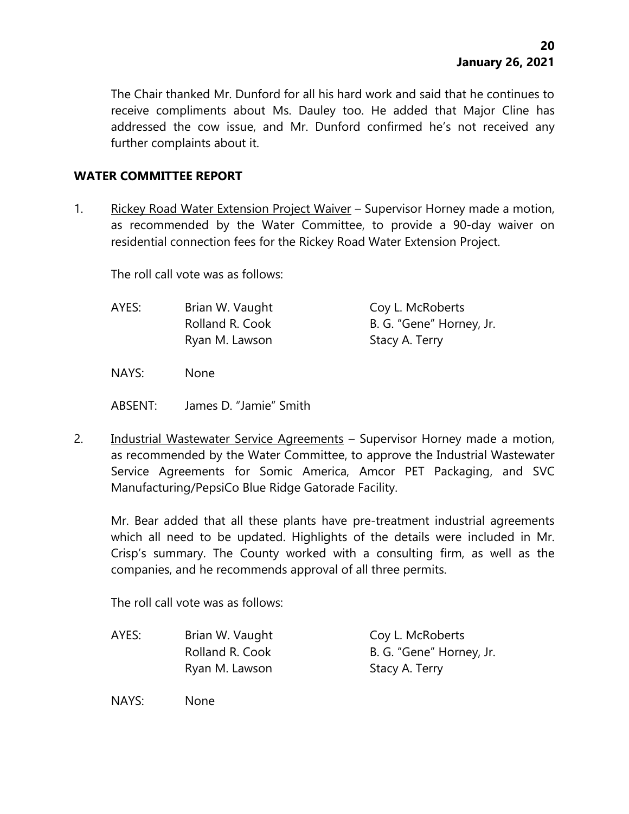The Chair thanked Mr. Dunford for all his hard work and said that he continues to receive compliments about Ms. Dauley too. He added that Major Cline has addressed the cow issue, and Mr. Dunford confirmed he's not received any further complaints about it.

#### **WATER COMMITTEE REPORT**

1. Rickey Road Water Extension Project Waiver – Supervisor Horney made a motion, as recommended by the Water Committee, to provide a 90-day waiver on residential connection fees for the Rickey Road Water Extension Project.

The roll call vote was as follows:

| AYES: | Brian W. Vaught | Coy L. McRoberts         |
|-------|-----------------|--------------------------|
|       | Rolland R. Cook | B. G. "Gene" Horney, Jr. |
|       | Ryan M. Lawson  | Stacy A. Terry           |

NAYS: None

- ABSENT: James D. "Jamie" Smith
- 2. Industrial Wastewater Service Agreements Supervisor Horney made a motion, as recommended by the Water Committee, to approve the Industrial Wastewater Service Agreements for Somic America, Amcor PET Packaging, and SVC Manufacturing/PepsiCo Blue Ridge Gatorade Facility.

Mr. Bear added that all these plants have pre-treatment industrial agreements which all need to be updated. Highlights of the details were included in Mr. Crisp's summary. The County worked with a consulting firm, as well as the companies, and he recommends approval of all three permits.

The roll call vote was as follows:

AYES: Brian W. Vaught Coy L. McRoberts Rolland R. Cook B. G. "Gene" Horney, Jr. Ryan M. Lawson Stacy A. Terry

NAYS: None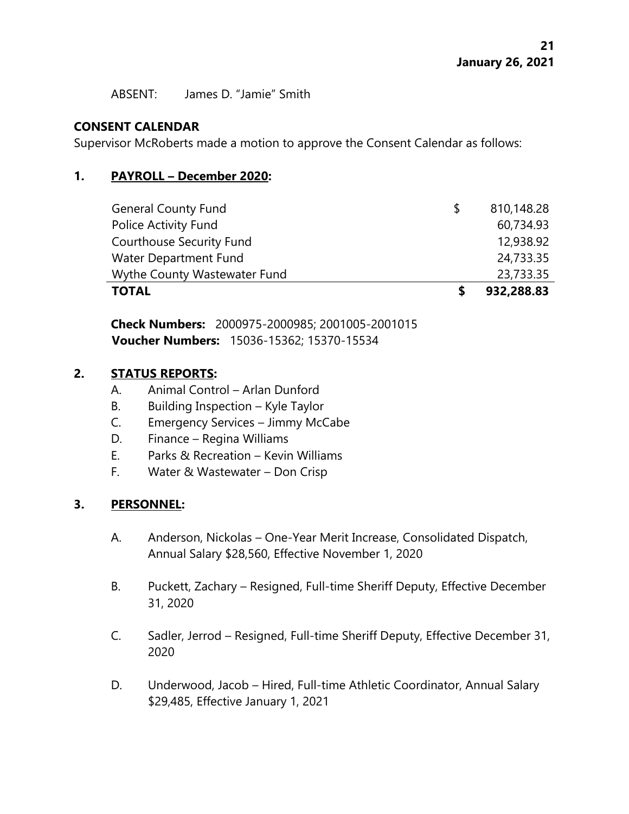ABSENT: James D. "Jamie" Smith

## **CONSENT CALENDAR**

Supervisor McRoberts made a motion to approve the Consent Calendar as follows:

### **1. PAYROLL – December 2020:**

| <b>General County Fund</b>      | 810,148.28 |
|---------------------------------|------------|
| Police Activity Fund            | 60,734.93  |
| <b>Courthouse Security Fund</b> | 12,938.92  |
| Water Department Fund           | 24,733.35  |
| Wythe County Wastewater Fund    | 23,733.35  |
| <b>TOTAL</b>                    | 932,288.83 |

**Check Numbers:** 2000975-2000985; 2001005-2001015 **Voucher Numbers:** 15036-15362; 15370-15534

### **2. STATUS REPORTS:**

- A. Animal Control Arlan Dunford
- B. Building Inspection Kyle Taylor
- C. Emergency Services Jimmy McCabe
- D. Finance Regina Williams
- E. Parks & Recreation Kevin Williams
- F. Water & Wastewater Don Crisp

# **3. PERSONNEL:**

- A. Anderson, Nickolas One-Year Merit Increase, Consolidated Dispatch, Annual Salary \$28,560, Effective November 1, 2020
- B. Puckett, Zachary Resigned, Full-time Sheriff Deputy, Effective December 31, 2020
- C. Sadler, Jerrod Resigned, Full-time Sheriff Deputy, Effective December 31, 2020
- D. Underwood, Jacob Hired, Full-time Athletic Coordinator, Annual Salary \$29,485, Effective January 1, 2021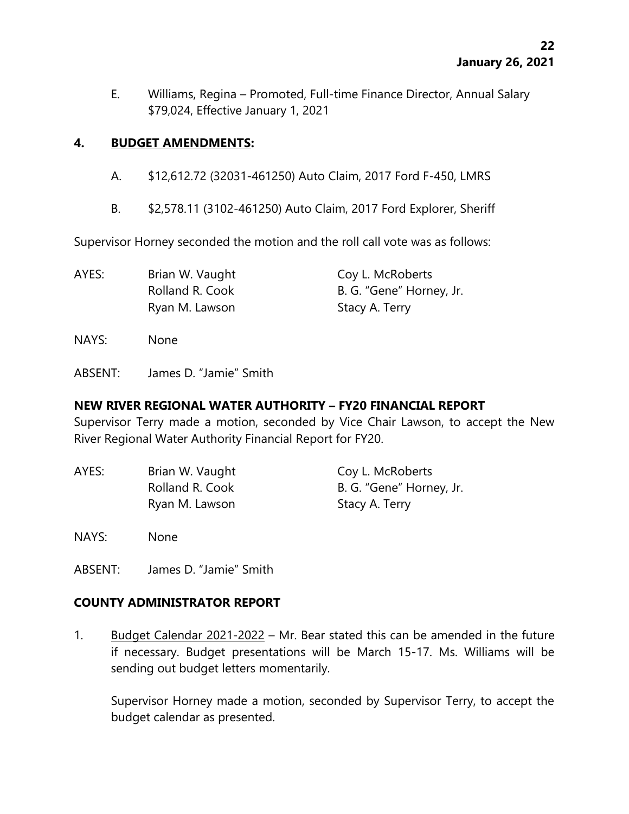E. Williams, Regina – Promoted, Full-time Finance Director, Annual Salary \$79,024, Effective January 1, 2021

### **4. BUDGET AMENDMENTS:**

- A. \$12,612.72 (32031-461250) Auto Claim, 2017 Ford F-450, LMRS
- B. \$2,578.11 (3102-461250) Auto Claim, 2017 Ford Explorer, Sheriff

Supervisor Horney seconded the motion and the roll call vote was as follows:

| AYES: | Brian W. Vaught | Coy L. McRoberts         |
|-------|-----------------|--------------------------|
|       | Rolland R. Cook | B. G. "Gene" Horney, Jr. |
|       | Ryan M. Lawson  | Stacy A. Terry           |

NAYS: None

ABSENT: James D. "Jamie" Smith

### **NEW RIVER REGIONAL WATER AUTHORITY – FY20 FINANCIAL REPORT**

Supervisor Terry made a motion, seconded by Vice Chair Lawson, to accept the New River Regional Water Authority Financial Report for FY20.

AYES: Brian W. Vaught Coy L. McRoberts Rolland R. Cook B. G. "Gene" Horney, Jr. Ryan M. Lawson Stacy A. Terry

NAYS: None

ABSENT: James D. "Jamie" Smith

# **COUNTY ADMINISTRATOR REPORT**

1. Budget Calendar 2021-2022 – Mr. Bear stated this can be amended in the future if necessary. Budget presentations will be March 15-17. Ms. Williams will be sending out budget letters momentarily.

Supervisor Horney made a motion, seconded by Supervisor Terry, to accept the budget calendar as presented.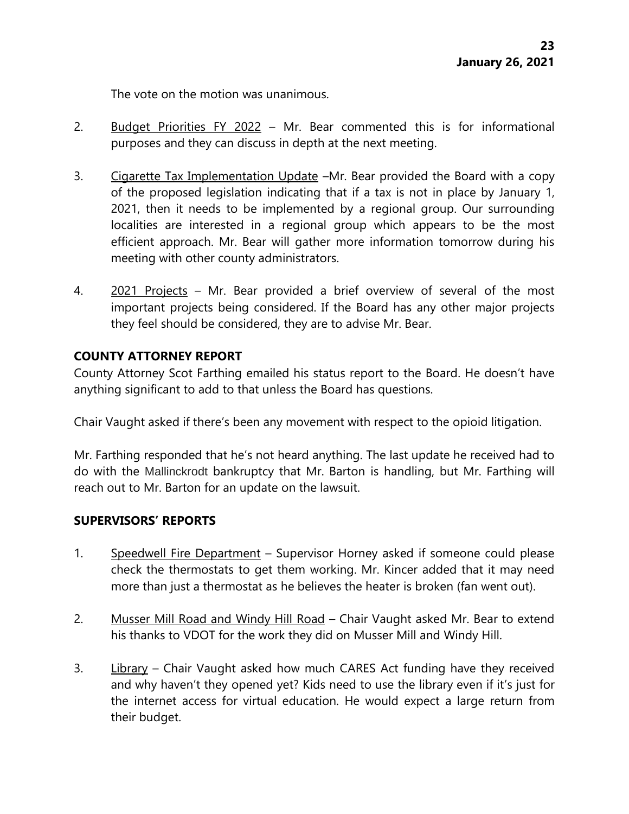The vote on the motion was unanimous.

- 2. Budget Priorities FY 2022 Mr. Bear commented this is for informational purposes and they can discuss in depth at the next meeting.
- 3. Cigarette Tax Implementation Update –Mr. Bear provided the Board with a copy of the proposed legislation indicating that if a tax is not in place by January 1, 2021, then it needs to be implemented by a regional group. Our surrounding localities are interested in a regional group which appears to be the most efficient approach. Mr. Bear will gather more information tomorrow during his meeting with other county administrators.
- 4. 2021 Projects Mr. Bear provided a brief overview of several of the most important projects being considered. If the Board has any other major projects they feel should be considered, they are to advise Mr. Bear.

### **COUNTY ATTORNEY REPORT**

County Attorney Scot Farthing emailed his status report to the Board. He doesn't have anything significant to add to that unless the Board has questions.

Chair Vaught asked if there's been any movement with respect to the opioid litigation.

Mr. Farthing responded that he's not heard anything. The last update he received had to do with the Mallinckrodt bankruptcy that Mr. Barton is handling, but Mr. Farthing will reach out to Mr. Barton for an update on the lawsuit.

#### **SUPERVISORS' REPORTS**

- 1. Speedwell Fire Department Supervisor Horney asked if someone could please check the thermostats to get them working. Mr. Kincer added that it may need more than just a thermostat as he believes the heater is broken (fan went out).
- 2. Musser Mill Road and Windy Hill Road Chair Vaught asked Mr. Bear to extend his thanks to VDOT for the work they did on Musser Mill and Windy Hill.
- 3. Library Chair Vaught asked how much CARES Act funding have they received and why haven't they opened yet? Kids need to use the library even if it's just for the internet access for virtual education. He would expect a large return from their budget.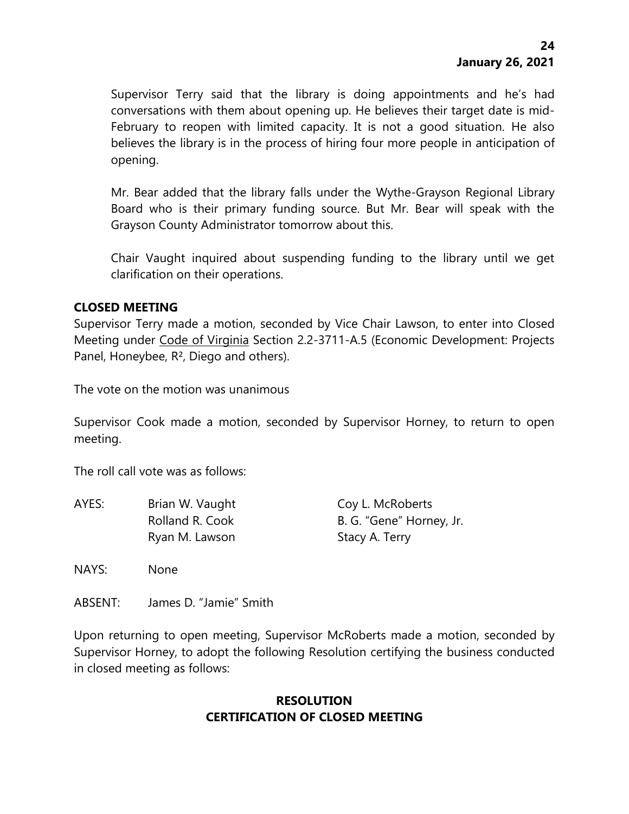Supervisor Terry said that the library is doing appointments and he's had conversations with them about opening up. He believes their target date is mid-February to reopen with limited capacity. It is not a good situation. He also believes the library is in the process of hiring four more people in anticipation of opening.

Mr. Bear added that the library falls under the Wythe-Grayson Regional Library Board who is their primary funding source. But Mr. Bear will speak with the Grayson County Administrator tomorrow about this.

Chair Vaught inquired about suspending funding to the library until we get clarification on their operations.

## **CLOSED MEETING**

Supervisor Terry made a motion, seconded by Vice Chair Lawson, to enter into Closed Meeting under Code of Virginia Section 2.2-3711-A.5 (Economic Development: Projects Panel, Honeybee, R², Diego and others).

The vote on the motion was unanimous

Supervisor Cook made a motion, seconded by Supervisor Horney, to return to open meeting.

The roll call vote was as follows:

| AYES: | Brian W. Vaught | Coy L. McRoberts         |
|-------|-----------------|--------------------------|
|       | Rolland R. Cook | B. G. "Gene" Horney, Jr. |
|       | Ryan M. Lawson  | Stacy A. Terry           |

NAYS: None

ABSENT: James D. "Jamie" Smith

Upon returning to open meeting, Supervisor McRoberts made a motion, seconded by Supervisor Horney, to adopt the following Resolution certifying the business conducted in closed meeting as follows:

### **RESOLUTION CERTIFICATION OF CLOSED MEETING**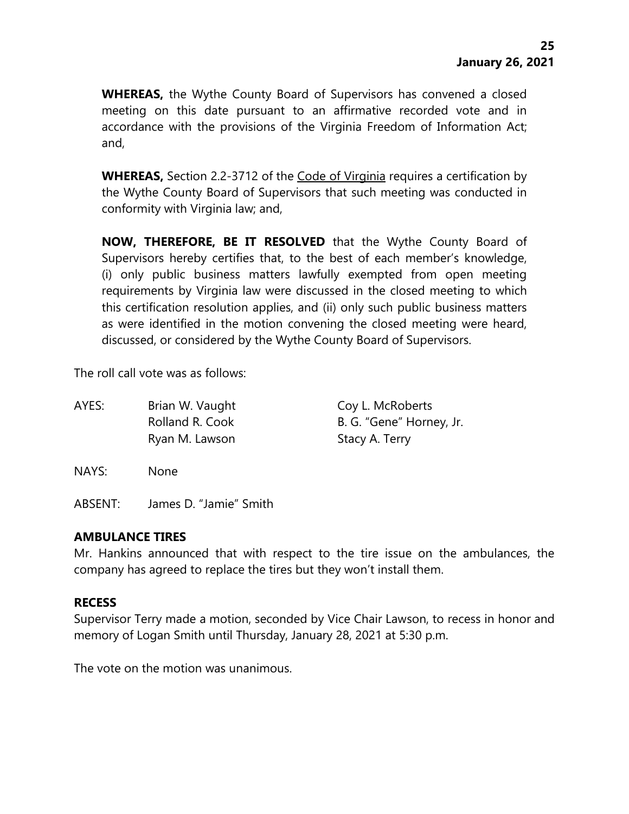**WHEREAS,** the Wythe County Board of Supervisors has convened a closed meeting on this date pursuant to an affirmative recorded vote and in accordance with the provisions of the Virginia Freedom of Information Act; and,

**WHEREAS,** Section 2.2-3712 of the Code of Virginia requires a certification by the Wythe County Board of Supervisors that such meeting was conducted in conformity with Virginia law; and,

**NOW, THEREFORE, BE IT RESOLVED** that the Wythe County Board of Supervisors hereby certifies that, to the best of each member's knowledge, (i) only public business matters lawfully exempted from open meeting requirements by Virginia law were discussed in the closed meeting to which this certification resolution applies, and (ii) only such public business matters as were identified in the motion convening the closed meeting were heard, discussed, or considered by the Wythe County Board of Supervisors.

The roll call vote was as follows:

| AYES: | Brian W. Vaught | Coy L. McRoberts         |
|-------|-----------------|--------------------------|
|       | Rolland R. Cook | B. G. "Gene" Horney, Jr. |
|       | Ryan M. Lawson  | Stacy A. Terry           |
|       |                 |                          |

NAYS: None

ABSENT: James D. "Jamie" Smith

### **AMBULANCE TIRES**

Mr. Hankins announced that with respect to the tire issue on the ambulances, the company has agreed to replace the tires but they won't install them.

### **RECESS**

Supervisor Terry made a motion, seconded by Vice Chair Lawson, to recess in honor and memory of Logan Smith until Thursday, January 28, 2021 at 5:30 p.m.

The vote on the motion was unanimous.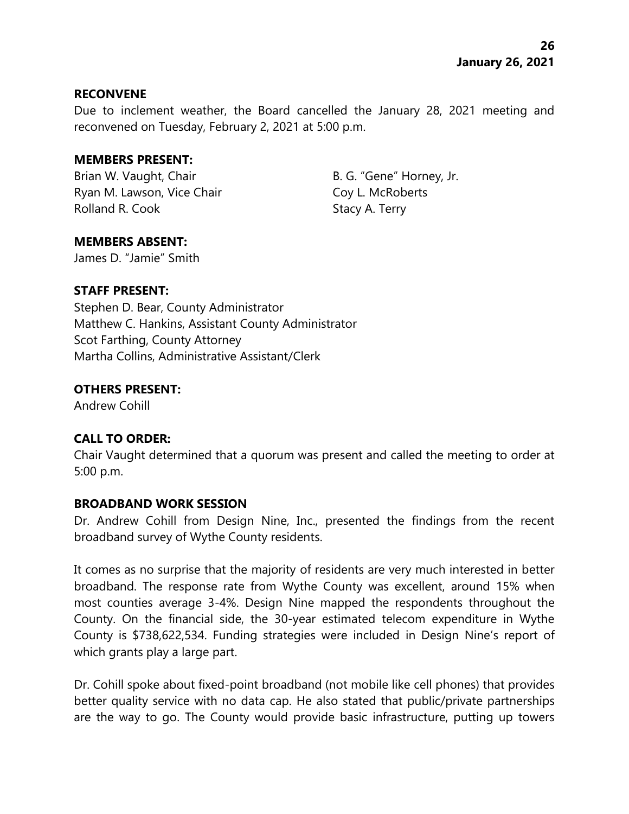#### **RECONVENE**

Due to inclement weather, the Board cancelled the January 28, 2021 meeting and reconvened on Tuesday, February 2, 2021 at 5:00 p.m.

#### **MEMBERS PRESENT:**

Brian W. Vaught, Chair B. G. "Gene" Horney, Jr. Ryan M. Lawson, Vice Chair Coy L. McRoberts Rolland R. Cook Stacy A. Terry

### **MEMBERS ABSENT:**

James D. "Jamie" Smith

## **STAFF PRESENT:**

Stephen D. Bear, County Administrator Matthew C. Hankins, Assistant County Administrator Scot Farthing, County Attorney Martha Collins, Administrative Assistant/Clerk

## **OTHERS PRESENT:**

Andrew Cohill

# **CALL TO ORDER:**

Chair Vaught determined that a quorum was present and called the meeting to order at 5:00 p.m.

### **BROADBAND WORK SESSION**

Dr. Andrew Cohill from Design Nine, Inc., presented the findings from the recent broadband survey of Wythe County residents.

It comes as no surprise that the majority of residents are very much interested in better broadband. The response rate from Wythe County was excellent, around 15% when most counties average 3-4%. Design Nine mapped the respondents throughout the County. On the financial side, the 30-year estimated telecom expenditure in Wythe County is \$738,622,534. Funding strategies were included in Design Nine's report of which grants play a large part.

Dr. Cohill spoke about fixed-point broadband (not mobile like cell phones) that provides better quality service with no data cap. He also stated that public/private partnerships are the way to go. The County would provide basic infrastructure, putting up towers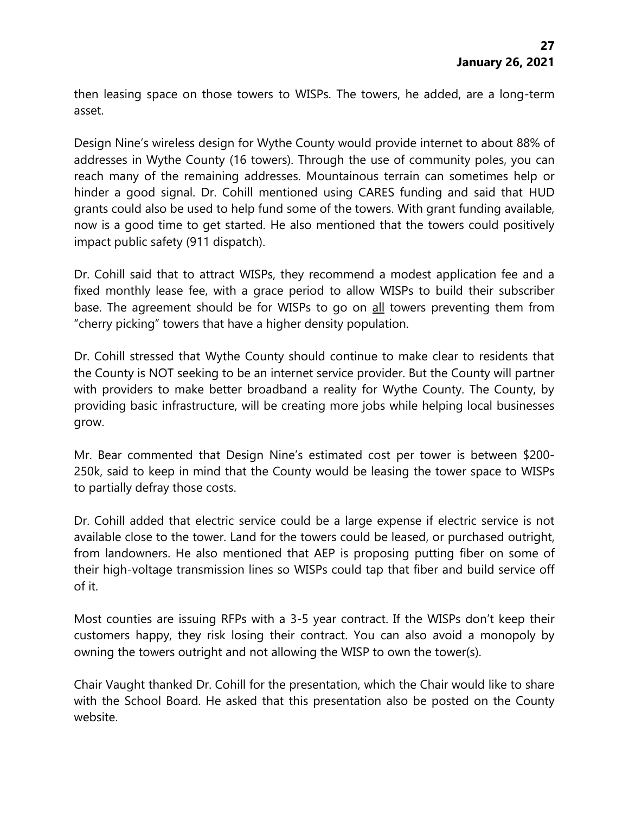then leasing space on those towers to WISPs. The towers, he added, are a long-term asset.

Design Nine's wireless design for Wythe County would provide internet to about 88% of addresses in Wythe County (16 towers). Through the use of community poles, you can reach many of the remaining addresses. Mountainous terrain can sometimes help or hinder a good signal. Dr. Cohill mentioned using CARES funding and said that HUD grants could also be used to help fund some of the towers. With grant funding available, now is a good time to get started. He also mentioned that the towers could positively impact public safety (911 dispatch).

Dr. Cohill said that to attract WISPs, they recommend a modest application fee and a fixed monthly lease fee, with a grace period to allow WISPs to build their subscriber base. The agreement should be for WISPs to go on all towers preventing them from "cherry picking" towers that have a higher density population.

Dr. Cohill stressed that Wythe County should continue to make clear to residents that the County is NOT seeking to be an internet service provider. But the County will partner with providers to make better broadband a reality for Wythe County. The County, by providing basic infrastructure, will be creating more jobs while helping local businesses grow.

Mr. Bear commented that Design Nine's estimated cost per tower is between \$200- 250k, said to keep in mind that the County would be leasing the tower space to WISPs to partially defray those costs.

Dr. Cohill added that electric service could be a large expense if electric service is not available close to the tower. Land for the towers could be leased, or purchased outright, from landowners. He also mentioned that AEP is proposing putting fiber on some of their high-voltage transmission lines so WISPs could tap that fiber and build service off of it.

Most counties are issuing RFPs with a 3-5 year contract. If the WISPs don't keep their customers happy, they risk losing their contract. You can also avoid a monopoly by owning the towers outright and not allowing the WISP to own the tower(s).

Chair Vaught thanked Dr. Cohill for the presentation, which the Chair would like to share with the School Board. He asked that this presentation also be posted on the County website.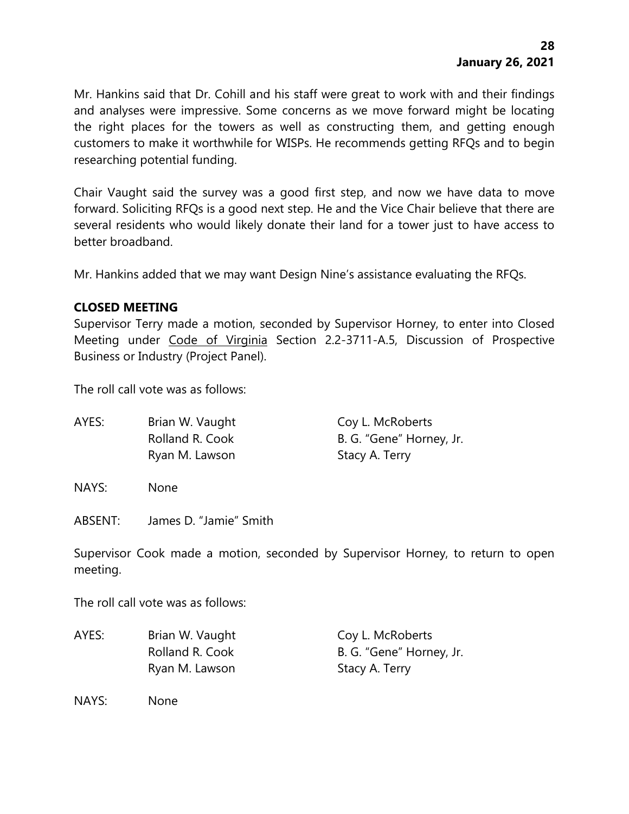Mr. Hankins said that Dr. Cohill and his staff were great to work with and their findings and analyses were impressive. Some concerns as we move forward might be locating the right places for the towers as well as constructing them, and getting enough customers to make it worthwhile for WISPs. He recommends getting RFQs and to begin researching potential funding.

Chair Vaught said the survey was a good first step, and now we have data to move forward. Soliciting RFQs is a good next step. He and the Vice Chair believe that there are several residents who would likely donate their land for a tower just to have access to better broadband.

Mr. Hankins added that we may want Design Nine's assistance evaluating the RFQs.

## **CLOSED MEETING**

Supervisor Terry made a motion, seconded by Supervisor Horney, to enter into Closed Meeting under Code of Virginia Section 2.2-3711-A.5, Discussion of Prospective Business or Industry (Project Panel).

The roll call vote was as follows:

| AYES: | Brian W. Vaught | Coy L. McRoberts         |
|-------|-----------------|--------------------------|
|       | Rolland R. Cook | B. G. "Gene" Horney, Jr. |
|       | Ryan M. Lawson  | Stacy A. Terry           |
|       |                 |                          |

NAYS: None

ABSENT: James D. "Jamie" Smith

Supervisor Cook made a motion, seconded by Supervisor Horney, to return to open meeting.

The roll call vote was as follows:

| AYES: | Brian W. Vaught | Coy L. McRoberts         |
|-------|-----------------|--------------------------|
|       | Rolland R. Cook | B. G. "Gene" Horney, Jr. |
|       | Ryan M. Lawson  | Stacy A. Terry           |

NAYS: None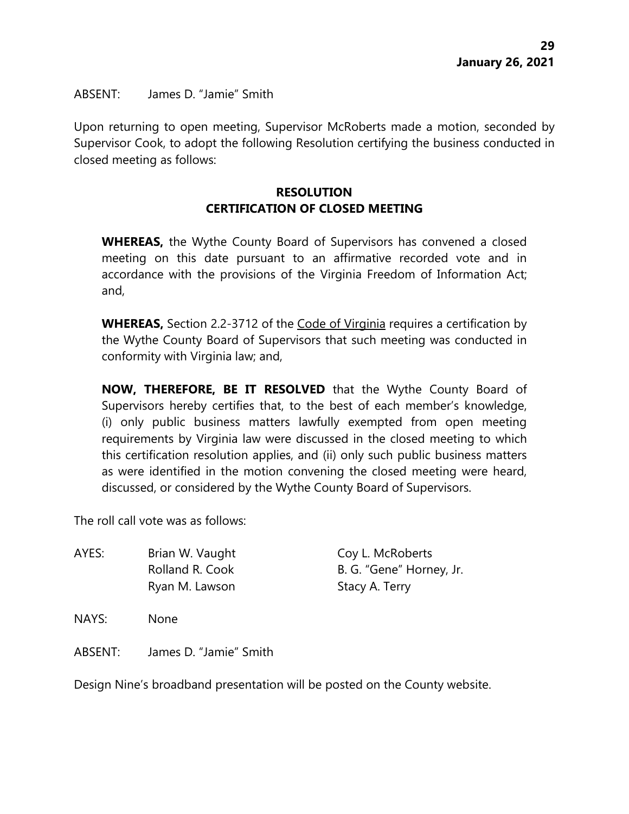ABSENT: James D. "Jamie" Smith

Upon returning to open meeting, Supervisor McRoberts made a motion, seconded by Supervisor Cook, to adopt the following Resolution certifying the business conducted in closed meeting as follows:

# **RESOLUTION CERTIFICATION OF CLOSED MEETING**

**WHEREAS,** the Wythe County Board of Supervisors has convened a closed meeting on this date pursuant to an affirmative recorded vote and in accordance with the provisions of the Virginia Freedom of Information Act; and,

**WHEREAS,** Section 2.2-3712 of the Code of Virginia requires a certification by the Wythe County Board of Supervisors that such meeting was conducted in conformity with Virginia law; and,

**NOW, THEREFORE, BE IT RESOLVED** that the Wythe County Board of Supervisors hereby certifies that, to the best of each member's knowledge, (i) only public business matters lawfully exempted from open meeting requirements by Virginia law were discussed in the closed meeting to which this certification resolution applies, and (ii) only such public business matters as were identified in the motion convening the closed meeting were heard, discussed, or considered by the Wythe County Board of Supervisors.

The roll call vote was as follows:

AYES: Brian W. Vaught Coy L. McRoberts Rolland R. Cook B. G. "Gene" Horney, Jr. Ryan M. Lawson Stacy A. Terry

NAYS: None

ABSENT: James D. "Jamie" Smith

Design Nine's broadband presentation will be posted on the County website.